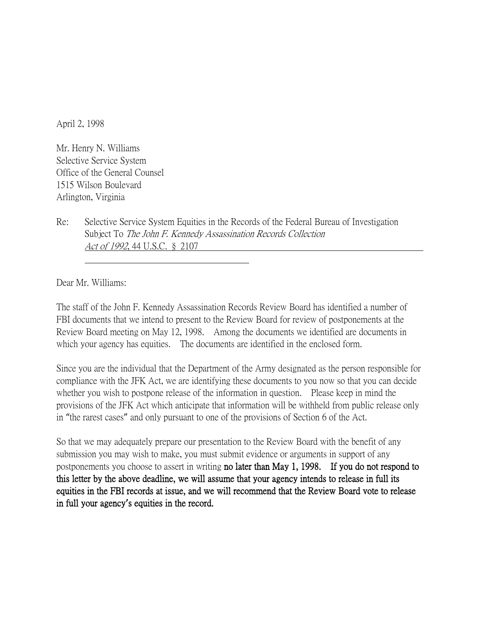April 2, 1998

Mr. Henry N. Williams Selective Service System Office of the General Counsel 1515 Wilson Boulevard Arlington, Virginia

Re: Selective Service System Equities in the Records of the Federal Bureau of Investigation Subject To The John F. Kennedy Assassination Records Collection Act of 1992, 44 U.S.C. § 2107

Dear Mr. Williams:

The staff of the John F. Kennedy Assassination Records Review Board has identified a number of FBI documents that we intend to present to the Review Board for review of postponements at the Review Board meeting on May 12, 1998. Among the documents we identified are documents in which your agency has equities. The documents are identified in the enclosed form.

Since you are the individual that the Department of the Army designated as the person responsible for compliance with the JFK Act, we are identifying these documents to you now so that you can decide whether you wish to postpone release of the information in question. Please keep in mind the provisions of the JFK Act which anticipate that information will be withheld from public release only in "the rarest cases" and only pursuant to one of the provisions of Section 6 of the Act.

So that we may adequately prepare our presentation to the Review Board with the benefit of any submission you may wish to make, you must submit evidence or arguments in support of any postponements you choose to assert in writing no later than May 1, 1998. If you do not respond to this letter by the above deadline, we will assume that your agency intends to release in full its equities in the FBI records at issue, and we will recommend that the Review Board vote to release in full your agency**'**s equities in the record.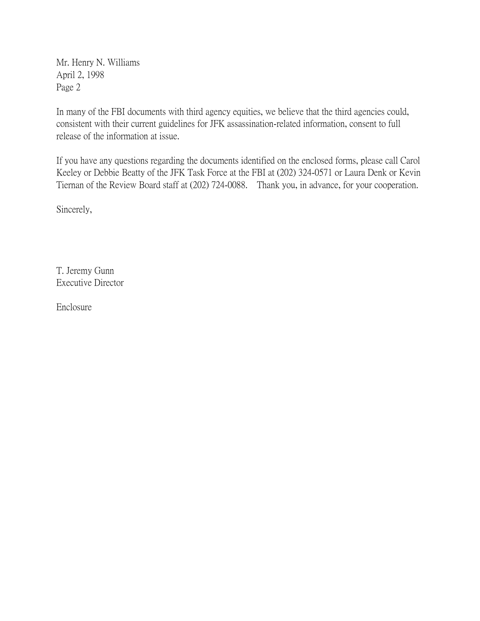Mr. Henry N. Williams April 2, 1998 Page 2

In many of the FBI documents with third agency equities, we believe that the third agencies could, consistent with their current guidelines for JFK assassination-related information, consent to full release of the information at issue.

If you have any questions regarding the documents identified on the enclosed forms, please call Carol Keeley or Debbie Beatty of the JFK Task Force at the FBI at (202) 324-0571 or Laura Denk or Kevin Tiernan of the Review Board staff at (202) 724-0088. Thank you, in advance, for your cooperation.

Sincerely,

T. Jeremy Gunn Executive Director

Enclosure